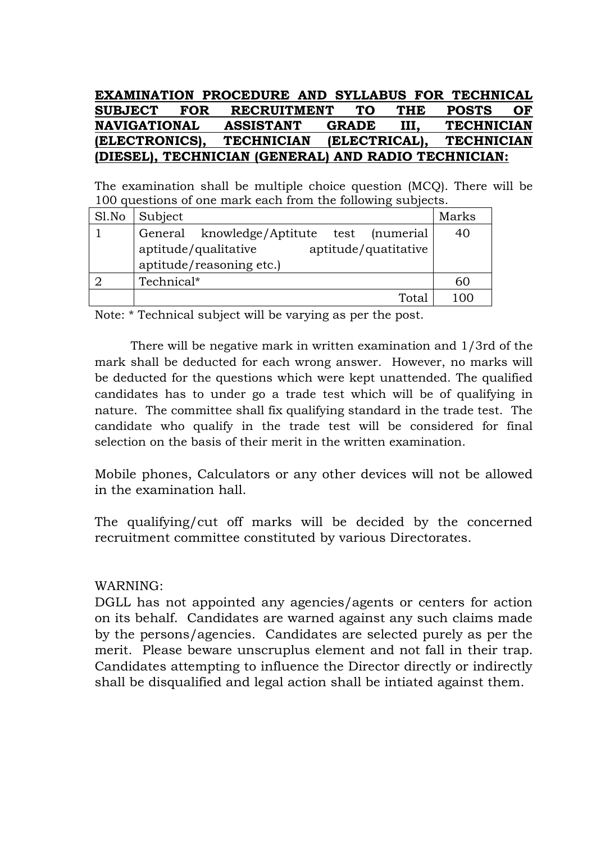#### **EXAMINATION PROCEDURE AND SYLLABUS FOR TECHNICAL SUBJECT FOR RECRUITMENT TO THE POSTS OF NAVIGATIONAL ASSISTANT GRADE III, TECHNICIAN (ELECTRONICS), TECHNICIAN (ELECTRICAL), TECHNICIAN (DIESEL), TECHNICIAN (GENERAL) AND RADIO TECHNICIAN:**

The examination shall be multiple choice question (MCQ). There will be 100 questions of one mark each from the following subjects.

| Sl.No | Subject                                                                  | Marks |
|-------|--------------------------------------------------------------------------|-------|
|       | General<br>knowledge/Aptitute test (numerial                             | 40    |
|       | aptitude/qualitative<br>aptitude/quatitative<br>aptitude/reasoning etc.) |       |
|       | Technical*                                                               | 60    |
|       | Total                                                                    |       |

Note: \* Technical subject will be varying as per the post.

There will be negative mark in written examination and 1/3rd of the mark shall be deducted for each wrong answer. However, no marks will be deducted for the questions which were kept unattended. The qualified candidates has to under go a trade test which will be of qualifying in nature. The committee shall fix qualifying standard in the trade test. The candidate who qualify in the trade test will be considered for final selection on the basis of their merit in the written examination.

Mobile phones, Calculators or any other devices will not be allowed in the examination hall.

The qualifying/cut off marks will be decided by the concerned recruitment committee constituted by various Directorates.

#### WARNING:

DGLL has not appointed any agencies/agents or centers for action on its behalf. Candidates are warned against any such claims made by the persons/agencies. Candidates are selected purely as per the merit. Please beware unscruplus element and not fall in their trap. Candidates attempting to influence the Director directly or indirectly shall be disqualified and legal action shall be intiated against them.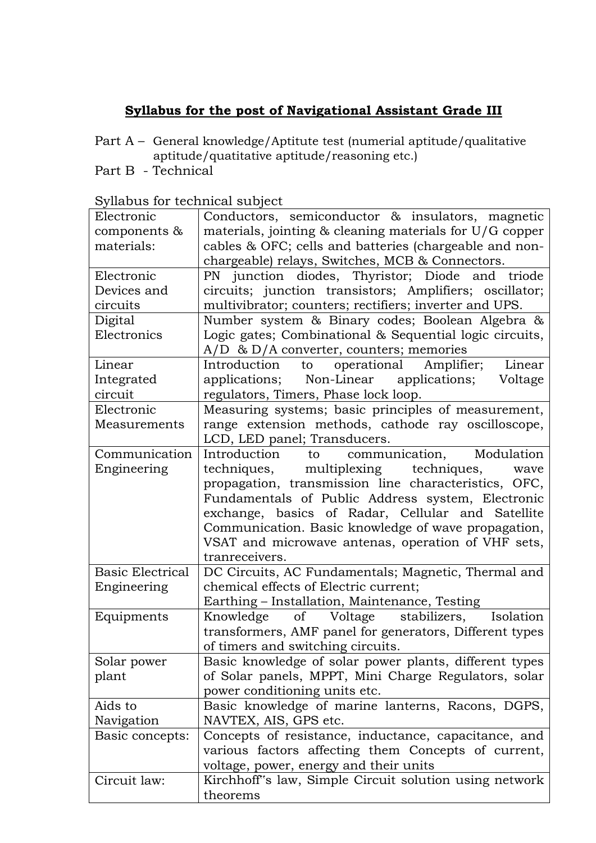#### **Syllabus for the post of Navigational Assistant Grade III**

- Part A General knowledge/Aptitute test (numerial aptitude/qualitative aptitude/quatitative aptitude/reasoning etc.)
- Part B Technical

| Electronic              | Conductors, semiconductor & insulators, magnetic        |
|-------------------------|---------------------------------------------------------|
| components $\&$         | materials, jointing & cleaning materials for U/G copper |
| materials:              | cables & OFC; cells and batteries (chargeable and non-  |
|                         | chargeable) relays, Switches, MCB & Connectors.         |
| Electronic              | PN junction diodes, Thyristor; Diode and triode         |
| Devices and             | circuits; junction transistors; Amplifiers; oscillator; |
| circuits                | multivibrator; counters; rectifiers; inverter and UPS.  |
| Digital                 | Number system & Binary codes; Boolean Algebra &         |
| Electronics             | Logic gates; Combinational & Sequential logic circuits, |
|                         | $A/D$ & $D/A$ converter, counters; memories             |
| Linear                  | to operational Amplifier; Linear<br>Introduction        |
| Integrated              | applications; Non-Linear applications; Voltage          |
| circuit                 | regulators, Timers, Phase lock loop.                    |
| Electronic              | Measuring systems; basic principles of measurement,     |
| Measurements            | range extension methods, cathode ray oscilloscope,      |
|                         | LCD, LED panel; Transducers.                            |
| Communication           | to communication, Modulation<br>Introduction            |
| Engineering             | multiplexing techniques,<br>techniques,<br>wave         |
|                         | propagation, transmission line characteristics, OFC,    |
|                         | Fundamentals of Public Address system, Electronic       |
|                         | exchange, basics of Radar, Cellular and Satellite       |
|                         | Communication. Basic knowledge of wave propagation,     |
|                         | VSAT and microwave antenas, operation of VHF sets,      |
|                         | tranreceivers.                                          |
| <b>Basic Electrical</b> | DC Circuits, AC Fundamentals; Magnetic, Thermal and     |
| Engineering             | chemical effects of Electric current;                   |
|                         | Earthing - Installation, Maintenance, Testing           |
| Equipments              | of Voltage stabilizers, Isolation<br>Knowledge          |
|                         | transformers, AMF panel for generators, Different types |
|                         | of timers and switching circuits.                       |
| Solar power             | Basic knowledge of solar power plants, different types  |
| plant                   | of Solar panels, MPPT, Mini Charge Regulators, solar    |
|                         | power conditioning units etc.                           |
| Aids to                 | Basic knowledge of marine lanterns, Racons, DGPS,       |
| Navigation              | NAVTEX, AIS, GPS etc.                                   |
| Basic concepts:         | Concepts of resistance, inductance, capacitance, and    |
|                         | various factors affecting them Concepts of current,     |
|                         | voltage, power, energy and their units                  |
| Circuit law:            | Kirchhoff's law, Simple Circuit solution using network  |
|                         | theorems                                                |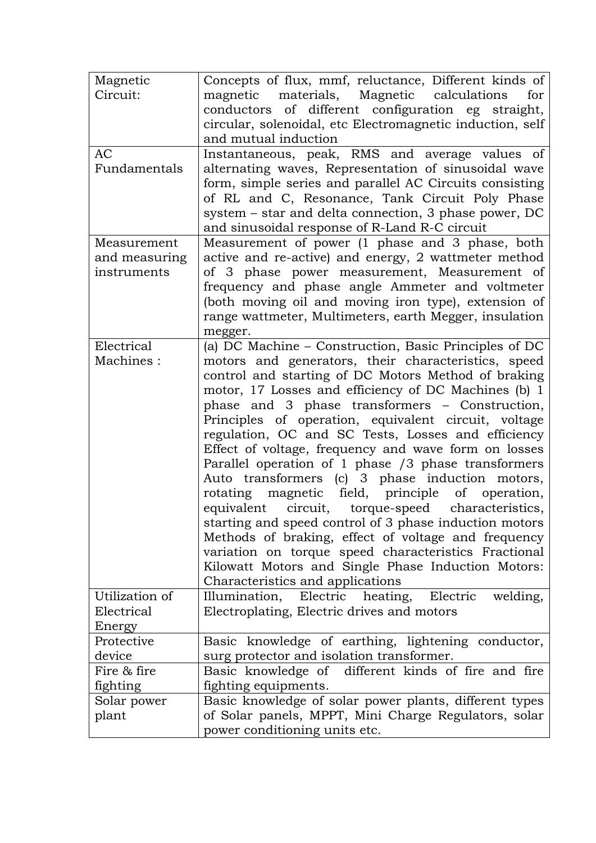| Magnetic       | Concepts of flux, mmf, reluctance, Different kinds of     |
|----------------|-----------------------------------------------------------|
| Circuit:       | materials, Magnetic calculations<br>magnetic<br>for       |
|                | conductors of different configuration eg straight,        |
|                | circular, solenoidal, etc Electromagnetic induction, self |
|                | and mutual induction                                      |
| <b>AC</b>      | Instantaneous, peak, RMS and average values of            |
| Fundamentals   | alternating waves, Representation of sinusoidal wave      |
|                | form, simple series and parallel AC Circuits consisting   |
|                | of RL and C, Resonance, Tank Circuit Poly Phase           |
|                | system – star and delta connection, 3 phase power, DC     |
|                | and sinusoidal response of R-Land R-C circuit             |
| Measurement    | Measurement of power (1 phase and 3 phase, both           |
| and measuring  | active and re-active) and energy, 2 wattmeter method      |
| instruments    | of 3 phase power measurement, Measurement of              |
|                | frequency and phase angle Ammeter and voltmeter           |
|                | (both moving oil and moving iron type), extension of      |
|                | range wattmeter, Multimeters, earth Megger, insulation    |
|                | megger.                                                   |
| Electrical     | (a) DC Machine - Construction, Basic Principles of DC     |
| Machines:      | motors and generators, their characteristics, speed       |
|                | control and starting of DC Motors Method of braking       |
|                | motor, 17 Losses and efficiency of DC Machines (b) 1      |
|                |                                                           |
|                | phase and 3 phase transformers - Construction,            |
|                | Principles of operation, equivalent circuit, voltage      |
|                | regulation, OC and SC Tests, Losses and efficiency        |
|                | Effect of voltage, frequency and wave form on losses      |
|                | Parallel operation of 1 phase /3 phase transformers       |
|                | Auto transformers (c) 3 phase induction motors,           |
|                | rotating magnetic field, principle of operation,          |
|                | equivalent circuit, torque-speed characteristics,         |
|                | starting and speed control of 3 phase induction motors    |
|                | Methods of braking, effect of voltage and frequency       |
|                | variation on torque speed characteristics Fractional      |
|                | Kilowatt Motors and Single Phase Induction Motors:        |
|                | Characteristics and applications                          |
| Utilization of | Illumination, Electric heating, Electric welding,         |
| Electrical     | Electroplating, Electric drives and motors                |
| Energy         |                                                           |
| Protective     | Basic knowledge of earthing, lightening conductor,        |
| device         | surg protector and isolation transformer.                 |
| Fire & fire    | Basic knowledge of different kinds of fire and fire       |
| fighting       | fighting equipments.                                      |
| Solar power    | Basic knowledge of solar power plants, different types    |
| plant          | of Solar panels, MPPT, Mini Charge Regulators, solar      |
|                | power conditioning units etc.                             |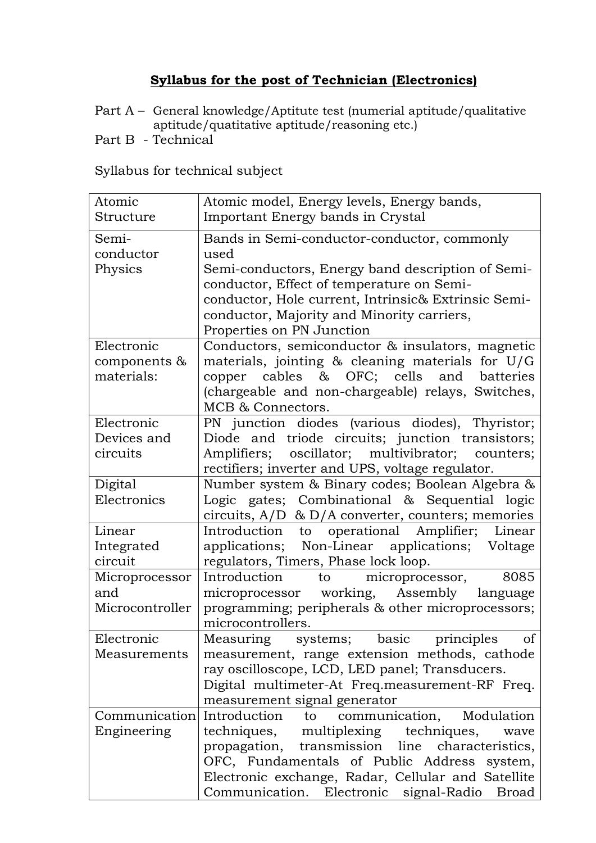### **Syllabus for the post of Technician (Electronics)**

- Part A General knowledge/Aptitute test (numerial aptitude/qualitative aptitude/quatitative aptitude/reasoning etc.)
- Part B Technical

| Atomic<br>Structure | Atomic model, Energy levels, Energy bands,           |
|---------------------|------------------------------------------------------|
|                     | Important Energy bands in Crystal                    |
| Semi-               | Bands in Semi-conductor-conductor, commonly          |
| conductor           | used                                                 |
| Physics             | Semi-conductors, Energy band description of Semi-    |
|                     | conductor, Effect of temperature on Semi-            |
|                     | conductor, Hole current, Intrinsic& Extrinsic Semi-  |
|                     | conductor, Majority and Minority carriers,           |
|                     | Properties on PN Junction                            |
| Electronic          | Conductors, semiconductor & insulators, magnetic     |
| components &        | materials, jointing $\&$ cleaning materials for U/G  |
| materials:          | copper cables & OFC; cells and batteries             |
|                     | (chargeable and non-chargeable) relays, Switches,    |
|                     | MCB & Connectors.                                    |
| Electronic          | PN junction diodes (various diodes), Thyristor;      |
| Devices and         | Diode and triode circuits; junction transistors;     |
| circuits            | Amplifiers; oscillator; multivibrator; counters;     |
|                     | rectifiers; inverter and UPS, voltage regulator.     |
| Digital             | Number system & Binary codes; Boolean Algebra &      |
| Electronics         | Logic gates; Combinational & Sequential logic        |
|                     | circuits, $A/D \& D/A$ converter, counters; memories |
| Linear              | Introduction to operational Amplifier; Linear        |
| Integrated          | Non-Linear applications; Voltage<br>applications;    |
| circuit             | regulators, Timers, Phase lock loop.                 |
| Microprocessor      | Introduction<br>microprocessor,<br>8085<br>to to     |
| and                 | microprocessor working, Assembly<br>language         |
| Microcontroller     | programming; peripherals & other microprocessors;    |
|                     | microcontrollers.                                    |
| Electronic          | Measuring systems; basic principles of               |
| Measurements        | measurement, range extension methods, cathode        |
|                     | ray oscilloscope, LCD, LED panel; Transducers.       |
|                     | Digital multimeter-At Freq.measurement-RF Freq.      |
|                     | measurement signal generator                         |
| Communication       | Introduction<br>Modulation<br>communication,<br>to   |
| Engineering         | multiplexing techniques, wave<br>techniques,         |
|                     | propagation, transmission line characteristics,      |
|                     | OFC, Fundamentals of Public Address system,          |
|                     | Electronic exchange, Radar, Cellular and Satellite   |
|                     | Communication. Electronic signal-Radio Broad         |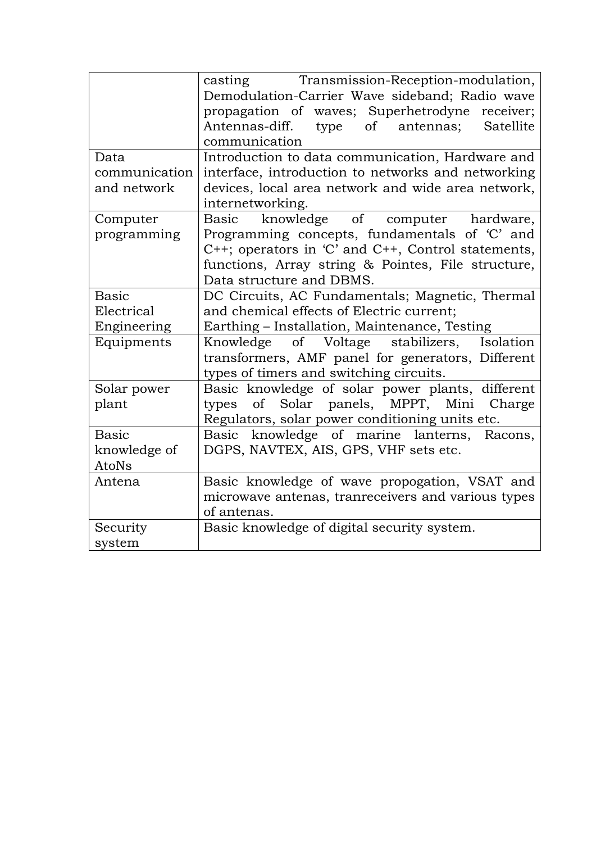|               | casting Transmission-Reception-modulation,         |
|---------------|----------------------------------------------------|
|               | Demodulation-Carrier Wave sideband; Radio wave     |
|               | propagation of waves; Superhetrodyne receiver;     |
|               | Antennas-diff. type of antennas; Satellite         |
|               | communication                                      |
| Data          | Introduction to data communication, Hardware and   |
| communication | interface, introduction to networks and networking |
| and network   | devices, local area network and wide area network, |
|               | internetworking.                                   |
| Computer      | knowledge of computer hardware,<br>Basic           |
| programming   | Programming concepts, fundamentals of 'C' and      |
|               | C++; operators in 'C' and C++, Control statements, |
|               | functions, Array string & Pointes, File structure, |
|               | Data structure and DBMS.                           |
| <b>Basic</b>  | DC Circuits, AC Fundamentals; Magnetic, Thermal    |
| Electrical    | and chemical effects of Electric current;          |
| Engineering   | Earthing - Installation, Maintenance, Testing      |
| Equipments    | Knowledge of Voltage stabilizers, Isolation        |
|               | transformers, AMF panel for generators, Different  |
|               | types of timers and switching circuits.            |
| Solar power   | Basic knowledge of solar power plants, different   |
| plant         | of Solar panels, MPPT, Mini Charge<br>types        |
|               | Regulators, solar power conditioning units etc.    |
| <b>Basic</b>  | Basic knowledge of marine lanterns, Racons,        |
| knowledge of  | DGPS, NAVTEX, AIS, GPS, VHF sets etc.              |
| AtoNs         |                                                    |
| Antena        | Basic knowledge of wave propogation, VSAT and      |
|               | microwave antenas, tranreceivers and various types |
|               | of antenas.                                        |
| Security      | Basic knowledge of digital security system.        |
| system        |                                                    |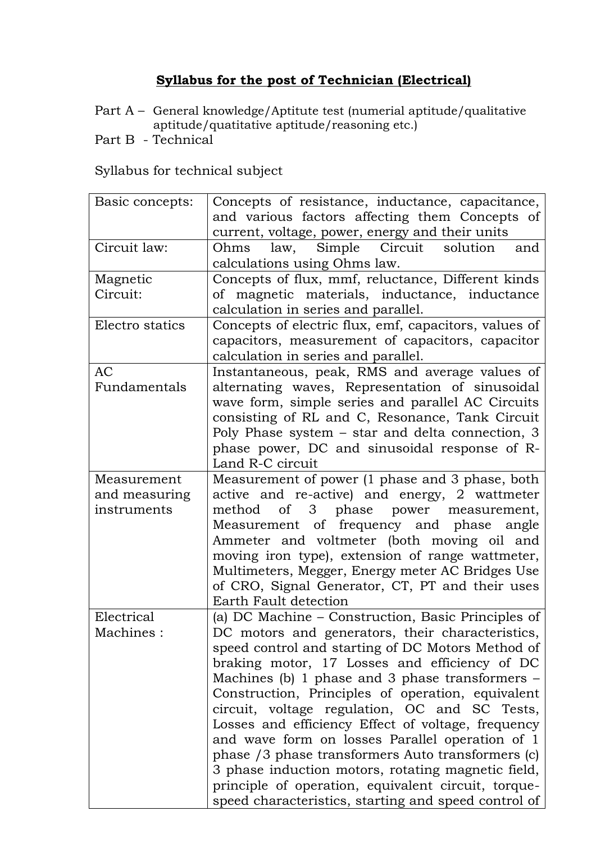### **Syllabus for the post of Technician (Electrical)**

- Part A General knowledge/Aptitute test (numerial aptitude/qualitative aptitude/quatitative aptitude/reasoning etc.)
- Part B Technical

| Basic concepts:           | Concepts of resistance, inductance, capacitance,<br>and various factors affecting them Concepts of                                                                                                                                                                                                                                                                                                                                                                                                                                                                                                                                                   |
|---------------------------|------------------------------------------------------------------------------------------------------------------------------------------------------------------------------------------------------------------------------------------------------------------------------------------------------------------------------------------------------------------------------------------------------------------------------------------------------------------------------------------------------------------------------------------------------------------------------------------------------------------------------------------------------|
|                           | current, voltage, power, energy and their units                                                                                                                                                                                                                                                                                                                                                                                                                                                                                                                                                                                                      |
| Circuit law:              | law, Simple Circuit<br>solution<br>and<br>Ohms<br>calculations using Ohms law.                                                                                                                                                                                                                                                                                                                                                                                                                                                                                                                                                                       |
| Magnetic                  | Concepts of flux, mmf, reluctance, Different kinds                                                                                                                                                                                                                                                                                                                                                                                                                                                                                                                                                                                                   |
| Circuit:                  | of magnetic materials, inductance, inductance<br>calculation in series and parallel.                                                                                                                                                                                                                                                                                                                                                                                                                                                                                                                                                                 |
| Electro statics           | Concepts of electric flux, emf, capacitors, values of<br>capacitors, measurement of capacitors, capacitor<br>calculation in series and parallel.                                                                                                                                                                                                                                                                                                                                                                                                                                                                                                     |
| <b>AC</b><br>Fundamentals | Instantaneous, peak, RMS and average values of<br>alternating waves, Representation of sinusoidal<br>wave form, simple series and parallel AC Circuits<br>consisting of RL and C, Resonance, Tank Circuit<br>Poly Phase system - star and delta connection, 3<br>phase power, DC and sinusoidal response of R-<br>Land R-C circuit                                                                                                                                                                                                                                                                                                                   |
| Measurement               | Measurement of power (1 phase and 3 phase, both                                                                                                                                                                                                                                                                                                                                                                                                                                                                                                                                                                                                      |
| and measuring             | active and re-active) and energy, 2 wattmeter                                                                                                                                                                                                                                                                                                                                                                                                                                                                                                                                                                                                        |
| instruments               | of 3 phase power measurement,<br>method<br>Measurement of frequency and phase angle<br>Ammeter and voltmeter (both moving oil and<br>moving iron type), extension of range wattmeter,<br>Multimeters, Megger, Energy meter AC Bridges Use<br>of CRO, Signal Generator, CT, PT and their uses<br>Earth Fault detection                                                                                                                                                                                                                                                                                                                                |
| Electrical                | (a) DC Machine - Construction, Basic Principles of                                                                                                                                                                                                                                                                                                                                                                                                                                                                                                                                                                                                   |
| Machines:                 | DC motors and generators, their characteristics,<br>speed control and starting of DC Motors Method of<br>braking motor, 17 Losses and efficiency of DC<br>Machines (b) 1 phase and 3 phase transformers $-$<br>Construction, Principles of operation, equivalent<br>circuit, voltage regulation, OC and SC Tests,<br>Losses and efficiency Effect of voltage, frequency<br>and wave form on losses Parallel operation of 1<br>phase /3 phase transformers Auto transformers (c)<br>3 phase induction motors, rotating magnetic field,<br>principle of operation, equivalent circuit, torque-<br>speed characteristics, starting and speed control of |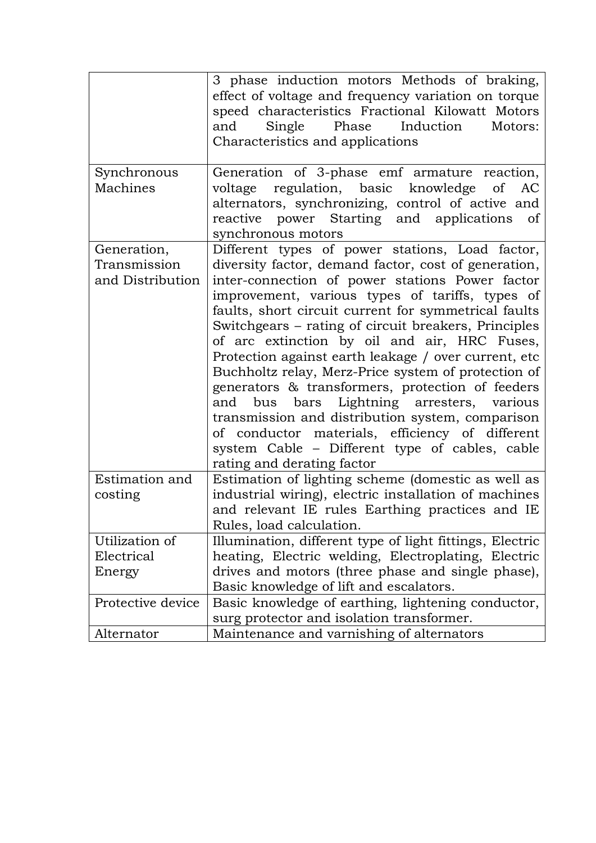|                                                 | 3 phase induction motors Methods of braking,<br>effect of voltage and frequency variation on torque<br>speed characteristics Fractional Kilowatt Motors<br>Induction<br>and<br>Single<br>Phase<br>Motors:<br>Characteristics and applications                                                                                                                                                                                                                                                                                                                                                                                                                                                                                                                                           |
|-------------------------------------------------|-----------------------------------------------------------------------------------------------------------------------------------------------------------------------------------------------------------------------------------------------------------------------------------------------------------------------------------------------------------------------------------------------------------------------------------------------------------------------------------------------------------------------------------------------------------------------------------------------------------------------------------------------------------------------------------------------------------------------------------------------------------------------------------------|
| Synchronous<br>Machines                         | Generation of 3-phase emf armature reaction,<br>regulation, basic knowledge of<br>voltage<br>AC<br>alternators, synchronizing, control of active and<br>reactive power Starting and applications<br><sub>of</sub><br>synchronous motors                                                                                                                                                                                                                                                                                                                                                                                                                                                                                                                                                 |
| Generation,<br>Transmission<br>and Distribution | Different types of power stations, Load factor,<br>diversity factor, demand factor, cost of generation,<br>inter-connection of power stations Power factor<br>improvement, various types of tariffs, types of<br>faults, short circuit current for symmetrical faults<br>Switchgears – rating of circuit breakers, Principles<br>of arc extinction by oil and air, HRC Fuses,<br>Protection against earth leakage / over current, etc<br>Buchholtz relay, Merz-Price system of protection of<br>generators & transformers, protection of feeders<br>bus bars Lightning arresters, various<br>and<br>transmission and distribution system, comparison<br>of conductor materials, efficiency of different<br>system Cable - Different type of cables, cable<br>rating and derating factor |
| Estimation and<br>costing                       | Estimation of lighting scheme (domestic as well as<br>industrial wiring), electric installation of machines<br>and relevant IE rules Earthing practices and IE<br>Rules, load calculation.                                                                                                                                                                                                                                                                                                                                                                                                                                                                                                                                                                                              |
| Utilization of                                  | Illumination, different type of light fittings, Electric                                                                                                                                                                                                                                                                                                                                                                                                                                                                                                                                                                                                                                                                                                                                |
| Electrical                                      | heating, Electric welding, Electroplating, Electric                                                                                                                                                                                                                                                                                                                                                                                                                                                                                                                                                                                                                                                                                                                                     |
| Energy                                          | drives and motors (three phase and single phase),                                                                                                                                                                                                                                                                                                                                                                                                                                                                                                                                                                                                                                                                                                                                       |
|                                                 | Basic knowledge of lift and escalators.                                                                                                                                                                                                                                                                                                                                                                                                                                                                                                                                                                                                                                                                                                                                                 |
| Protective device                               | Basic knowledge of earthing, lightening conductor,                                                                                                                                                                                                                                                                                                                                                                                                                                                                                                                                                                                                                                                                                                                                      |
|                                                 | surg protector and isolation transformer.                                                                                                                                                                                                                                                                                                                                                                                                                                                                                                                                                                                                                                                                                                                                               |
| Alternator                                      | Maintenance and varnishing of alternators                                                                                                                                                                                                                                                                                                                                                                                                                                                                                                                                                                                                                                                                                                                                               |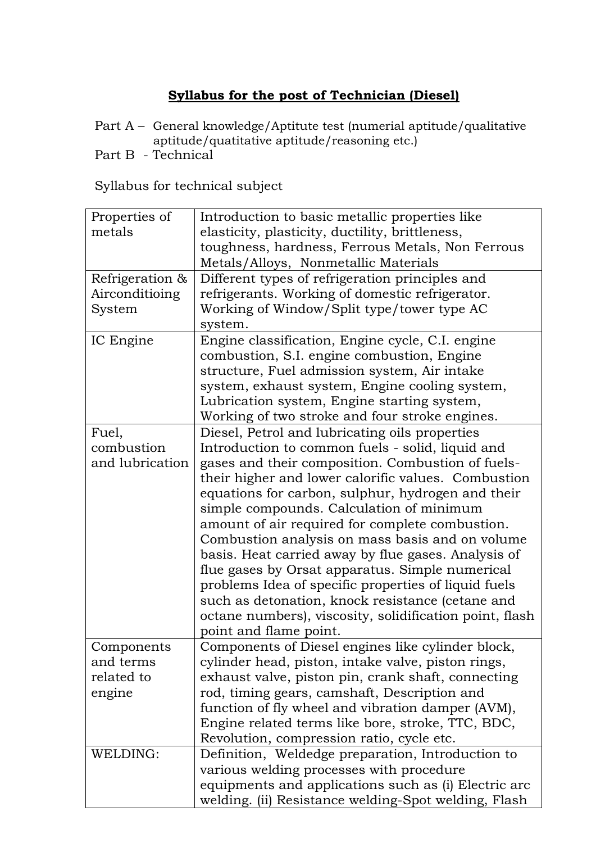# **Syllabus for the post of Technician (Diesel)**

Part A – General knowledge/Aptitute test (numerial aptitude/qualitative aptitude/quatitative aptitude/reasoning etc.)

Part B - Technical

| Properties of   | Introduction to basic metallic properties like          |
|-----------------|---------------------------------------------------------|
| metals          | elasticity, plasticity, ductility, brittleness,         |
|                 | toughness, hardness, Ferrous Metals, Non Ferrous        |
|                 | Metals/Alloys, Nonmetallic Materials                    |
| Refrigeration & | Different types of refrigeration principles and         |
| Airconditioing  | refrigerants. Working of domestic refrigerator.         |
| System          | Working of Window/Split type/tower type AC              |
|                 | system.                                                 |
| IC Engine       | Engine classification, Engine cycle, C.I. engine        |
|                 | combustion, S.I. engine combustion, Engine              |
|                 | structure, Fuel admission system, Air intake            |
|                 | system, exhaust system, Engine cooling system,          |
|                 | Lubrication system, Engine starting system,             |
|                 | Working of two stroke and four stroke engines.          |
| Fuel,           | Diesel, Petrol and lubricating oils properties          |
| combustion      | Introduction to common fuels - solid, liquid and        |
| and lubrication | gases and their composition. Combustion of fuels-       |
|                 | their higher and lower calorific values. Combustion     |
|                 | equations for carbon, sulphur, hydrogen and their       |
|                 | simple compounds. Calculation of minimum                |
|                 | amount of air required for complete combustion.         |
|                 | Combustion analysis on mass basis and on volume         |
|                 | basis. Heat carried away by flue gases. Analysis of     |
|                 | flue gases by Orsat apparatus. Simple numerical         |
|                 |                                                         |
|                 | problems Idea of specific properties of liquid fuels    |
|                 | such as detonation, knock resistance (cetane and        |
|                 | octane numbers), viscosity, solidification point, flash |
|                 | point and flame point.                                  |
| Components      | Components of Diesel engines like cylinder block,       |
| and terms       | cylinder head, piston, intake valve, piston rings,      |
| related to      | exhaust valve, piston pin, crank shaft, connecting      |
| engine          | rod, timing gears, camshaft, Description and            |
|                 | function of fly wheel and vibration damper (AVM),       |
|                 | Engine related terms like bore, stroke, TTC, BDC,       |
|                 | Revolution, compression ratio, cycle etc.               |
| WELDING:        | Definition, Weldedge preparation, Introduction to       |
|                 | various welding processes with procedure                |
|                 | equipments and applications such as (i) Electric arc    |
|                 | welding. (ii) Resistance welding-Spot welding, Flash    |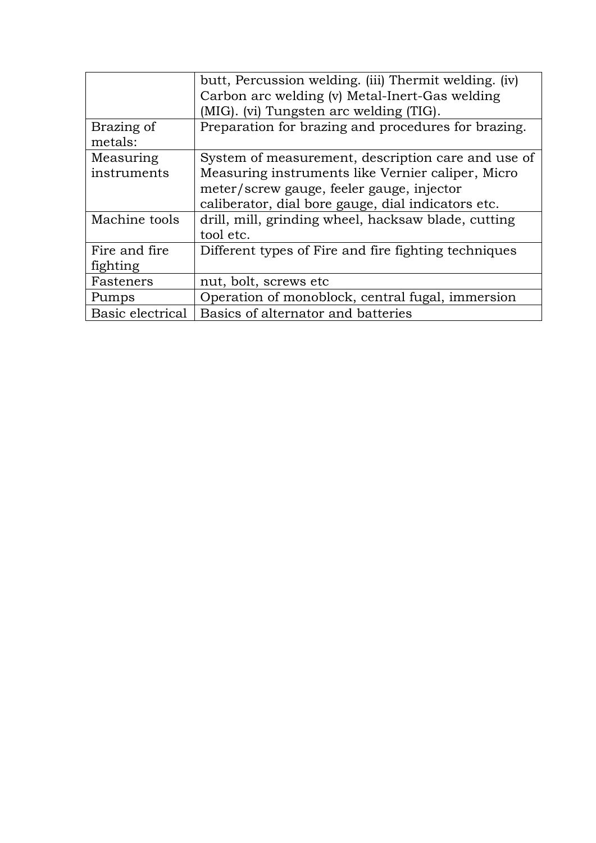|                       | butt, Percussion welding. (iii) Thermit welding. (iv) |
|-----------------------|-------------------------------------------------------|
|                       | Carbon arc welding (v) Metal-Inert-Gas welding        |
|                       | (MIG). (vi) Tungsten arc welding (TIG).               |
| Brazing of<br>metals: | Preparation for brazing and procedures for brazing.   |
| Measuring             | System of measurement, description care and use of    |
| instruments           | Measuring instruments like Vernier caliper, Micro     |
|                       | meter/screw gauge, feeler gauge, injector             |
|                       | caliberator, dial bore gauge, dial indicators etc.    |
| Machine tools         | drill, mill, grinding wheel, hacksaw blade, cutting   |
|                       | tool etc.                                             |
| Fire and fire         | Different types of Fire and fire fighting techniques  |
| fighting              |                                                       |
| Fasteners             | nut, bolt, screws etc                                 |
| Pumps                 | Operation of monoblock, central fugal, immersion      |
| Basic electrical      | Basics of alternator and batteries                    |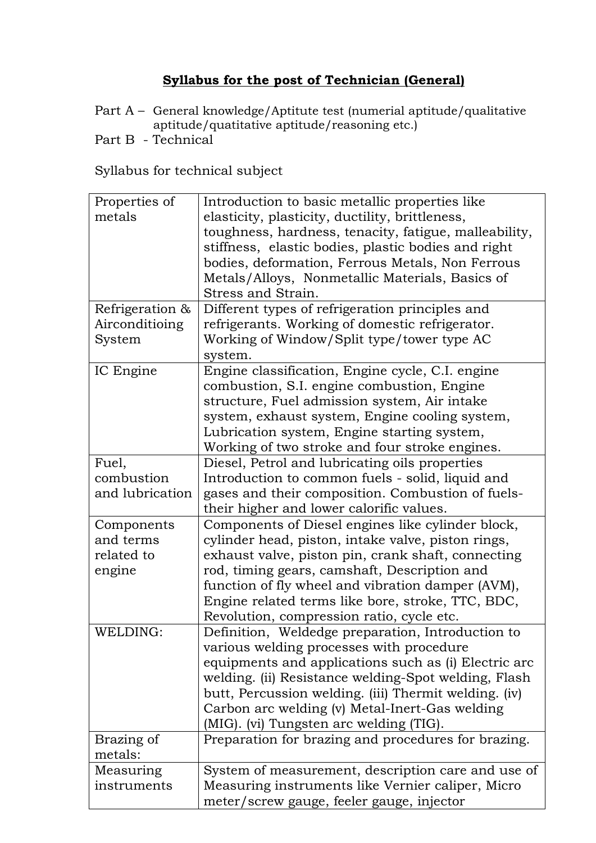### **Syllabus for the post of Technician (General)**

- Part A General knowledge/Aptitute test (numerial aptitude/qualitative aptitude/quatitative aptitude/reasoning etc.)
- Part B Technical

| Properties of   | Introduction to basic metallic properties like        |
|-----------------|-------------------------------------------------------|
| metals          | elasticity, plasticity, ductility, brittleness,       |
|                 | toughness, hardness, tenacity, fatigue, malleability, |
|                 | stiffness, elastic bodies, plastic bodies and right   |
|                 | bodies, deformation, Ferrous Metals, Non Ferrous      |
|                 | Metals/Alloys, Nonmetallic Materials, Basics of       |
|                 | Stress and Strain.                                    |
|                 |                                                       |
| Refrigeration & | Different types of refrigeration principles and       |
| Airconditioing  | refrigerants. Working of domestic refrigerator.       |
| System          | Working of Window/Split type/tower type AC            |
|                 | system.                                               |
| IC Engine       | Engine classification, Engine cycle, C.I. engine      |
|                 | combustion, S.I. engine combustion, Engine            |
|                 | structure, Fuel admission system, Air intake          |
|                 | system, exhaust system, Engine cooling system,        |
|                 | Lubrication system, Engine starting system,           |
|                 | Working of two stroke and four stroke engines.        |
| Fuel,           | Diesel, Petrol and lubricating oils properties        |
| combustion      | Introduction to common fuels - solid, liquid and      |
| and lubrication | gases and their composition. Combustion of fuels-     |
|                 | their higher and lower calorific values.              |
| Components      | Components of Diesel engines like cylinder block,     |
| and terms       | cylinder head, piston, intake valve, piston rings,    |
| related to      | exhaust valve, piston pin, crank shaft, connecting    |
| engine          | rod, timing gears, camshaft, Description and          |
|                 | function of fly wheel and vibration damper (AVM),     |
|                 | Engine related terms like bore, stroke, TTC, BDC,     |
|                 | Revolution, compression ratio, cycle etc.             |
| WELDING:        | Definition, Weldedge preparation, Introduction to     |
|                 | various welding processes with procedure              |
|                 |                                                       |
|                 | equipments and applications such as (i) Electric arc  |
|                 | welding. (ii) Resistance welding-Spot welding, Flash  |
|                 | butt, Percussion welding. (iii) Thermit welding. (iv) |
|                 | Carbon arc welding (v) Metal-Inert-Gas welding        |
|                 | (MIG). (vi) Tungsten arc welding (TIG).               |
| Brazing of      | Preparation for brazing and procedures for brazing.   |
| metals:         |                                                       |
| Measuring       | System of measurement, description care and use of    |
| instruments     | Measuring instruments like Vernier caliper, Micro     |
|                 | meter/screw gauge, feeler gauge, injector             |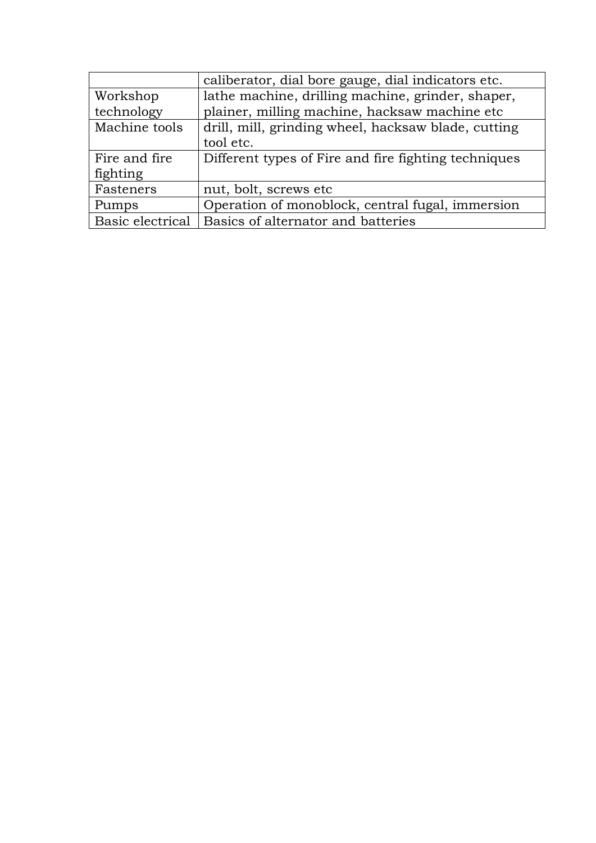|                  | caliberator, dial bore gauge, dial indicators etc.   |
|------------------|------------------------------------------------------|
| Workshop         | lathe machine, drilling machine, grinder, shaper,    |
| technology       | plainer, milling machine, hacksaw machine etc        |
| Machine tools    | drill, mill, grinding wheel, hacksaw blade, cutting  |
|                  | tool etc.                                            |
| Fire and fire    | Different types of Fire and fire fighting techniques |
| fighting         |                                                      |
| Fasteners        | nut, bolt, screws etc                                |
| Pumps            | Operation of monoblock, central fugal, immersion     |
| Basic electrical | Basics of alternator and batteries                   |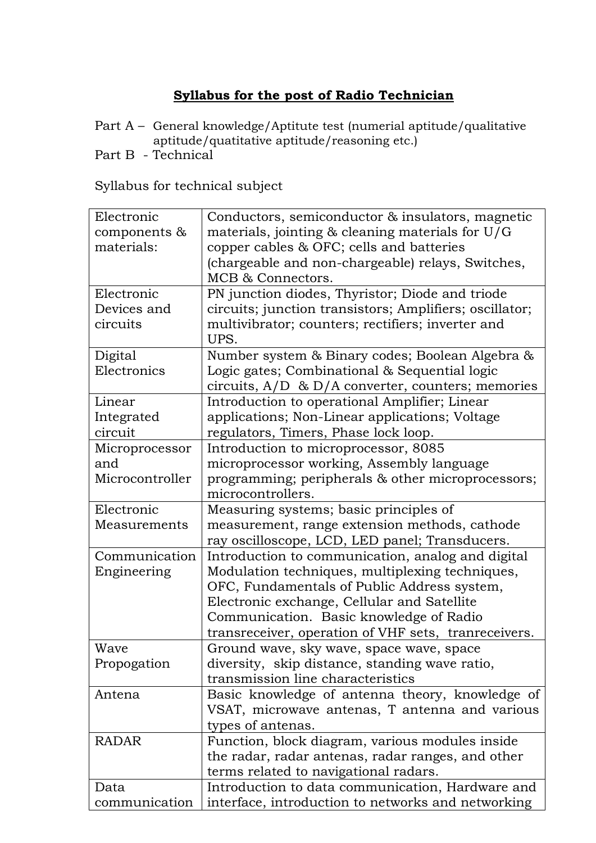# **Syllabus for the post of Radio Technician**

Part A – General knowledge/Aptitute test (numerial aptitude/qualitative aptitude/quatitative aptitude/reasoning etc.)

Part B - Technical

| Electronic      | Conductors, semiconductor & insulators, magnetic        |
|-----------------|---------------------------------------------------------|
| components $\&$ | materials, jointing $&$ cleaning materials for $U/G$    |
| materials:      | copper cables & OFC; cells and batteries                |
|                 | (chargeable and non-chargeable) relays, Switches,       |
|                 | MCB & Connectors.                                       |
| Electronic      | PN junction diodes, Thyristor; Diode and triode         |
| Devices and     | circuits; junction transistors; Amplifiers; oscillator; |
| circuits        | multivibrator; counters; rectifiers; inverter and       |
|                 | UPS.                                                    |
| Digital         | Number system & Binary codes; Boolean Algebra &         |
| Electronics     | Logic gates; Combinational & Sequential logic           |
|                 | circuits, $A/D \& D/A$ converter, counters; memories    |
| Linear          | Introduction to operational Amplifier; Linear           |
| Integrated      | applications; Non-Linear applications; Voltage          |
| circuit         | regulators, Timers, Phase lock loop.                    |
| Microprocessor  | Introduction to microprocessor, 8085                    |
| and             | microprocessor working, Assembly language               |
| Microcontroller | programming; peripherals & other microprocessors;       |
|                 | microcontrollers.                                       |
| Electronic      | Measuring systems; basic principles of                  |
| Measurements    | measurement, range extension methods, cathode           |
|                 | ray oscilloscope, LCD, LED panel; Transducers.          |
| Communication   | Introduction to communication, analog and digital       |
| Engineering     | Modulation techniques, multiplexing techniques,         |
|                 | OFC, Fundamentals of Public Address system,             |
|                 | Electronic exchange, Cellular and Satellite             |
|                 | Communication. Basic knowledge of Radio                 |
|                 | transreceiver, operation of VHF sets, tranreceivers.    |
| Wave            | Ground wave, sky wave, space wave, space                |
| Propogation     | diversity, skip distance, standing wave ratio,          |
|                 | transmission line characteristics                       |
| Antena          | Basic knowledge of antenna theory, knowledge of         |
|                 | VSAT, microwave antenas, T antenna and various          |
|                 | types of antenas.                                       |
| <b>RADAR</b>    | Function, block diagram, various modules inside         |
|                 | the radar, radar antenas, radar ranges, and other       |
|                 | terms related to navigational radars.                   |
| Data            | Introduction to data communication, Hardware and        |
| communication   | interface, introduction to networks and networking      |